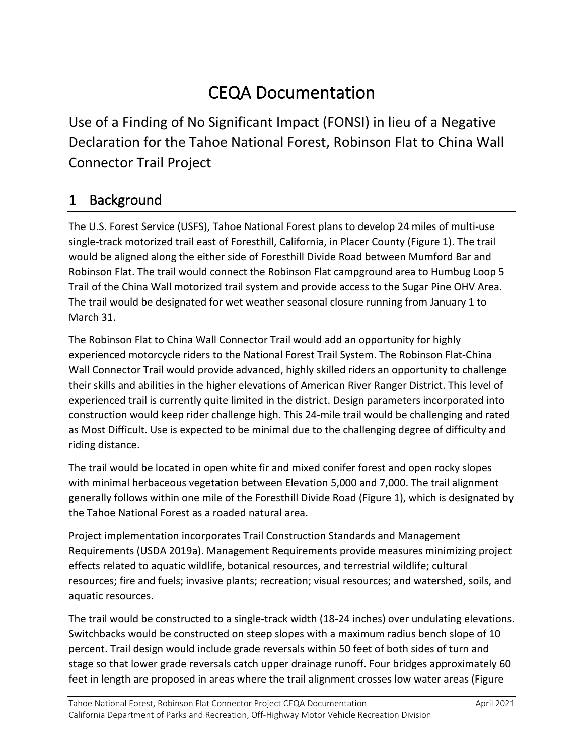# CEQA Documentation

 Use of a Finding of No Significant Impact (FONSI) in lieu of a Negative Declaration for the Tahoe National Forest, Robinson Flat to China Wall Connector Trail Project

## 1 Background

 would be aligned along the either side of Foresthill Divide Road between Mumford Bar and Robinson Flat. The trail would connect the Robinson Flat campground area to Humbug Loop 5 Trail of the China Wall motorized trail system and provide access to the Sugar Pine OHV Area. The trail would be designated for wet weather seasonal closure running from January 1 to March 31. The U.S. Forest Service (USFS), Tahoe National Forest plans to develop 24 miles of multi-use single-track motorized trail east of Foresthill, California, in Placer County (Figure 1). The trail

March 31.<br>The Robinson Flat to China Wall Connector Trail would add an opportunity for highly Wall Connector Trail would provide advanced, highly skilled riders an opportunity to challenge construction would keep rider challenge high. This 24-mile trail would be challenging and rated as Most Difficult. Use is expected to be minimal due to the challenging degree of difficulty and experienced motorcycle riders to the National Forest Trail System. The Robinson Flat-China their skills and abilities in the higher elevations of American River Ranger District. This level of experienced trail is currently quite limited in the district. Design parameters incorporated into riding distance.

 generally follows within one mile of the Foresthill Divide Road (Figure 1), which is designated by The trail would be located in open white fir and mixed conifer forest and open rocky slopes with minimal herbaceous vegetation between Elevation 5,000 and 7,000. The trail alignment the Tahoe National Forest as a roaded natural area.

 resources; fire and fuels; invasive plants; recreation; visual resources; and watershed, soils, and aquatic resources. Project implementation incorporates Trail Construction Standards and Management Requirements (USDA 2019a). Management Requirements provide measures minimizing project effects related to aquatic wildlife, botanical resources, and terrestrial wildlife; cultural

aquatic resources.<br>The trail would be constructed to a single-track width (18-24 inches) over undulating elevations. percent. Trail design would include grade reversals within 50 feet of both sides of turn and Switchbacks would be constructed on steep slopes with a maximum radius bench slope of 10 stage so that lower grade reversals catch upper drainage runoff. Four bridges approximately 60 feet in length are proposed in areas where the trail alignment crosses low water areas (Figure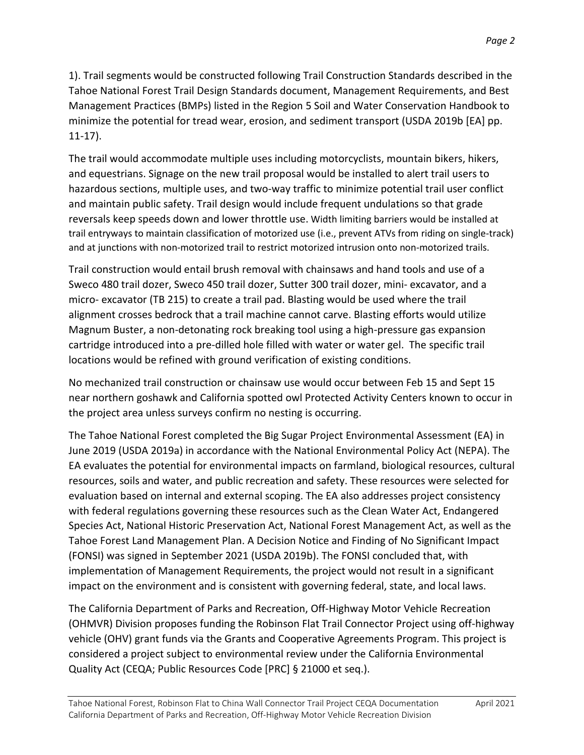1). Trail segments would be constructed following Trail Construction Standards described in the Tahoe National Forest Trail Design Standards document, Management Requirements, and Best Management Practices (BMPs) listed in the Region 5 Soil and Water Conservation Handbook to minimize the potential for tread wear, erosion, and sediment transport (USDA 2019b [EA] pp. 11-17).

 and equestrians. Signage on the new trail proposal would be installed to alert trail users to and maintain public safety. Trail design would include frequent undulations so that grade reversals keep speeds down and lower throttle use. Width limiting barriers would be installed at trail entryways to maintain classification of motorized use (i.e., prevent ATVs from riding on single-track) The trail would accommodate multiple uses including motorcyclists, mountain bikers, hikers, hazardous sections, multiple uses, and two-way traffic to minimize potential trail user conflict and at junctions with non-motorized trail to restrict motorized intrusion onto non-motorized trails.

 micro- excavator (TB 215) to create a trail pad. Blasting would be used where the trail cartridge introduced into a pre-dilled hole filled with water or water gel. The specific trail locations would be refined with ground verification of existing conditions. Trail construction would entail brush removal with chainsaws and hand tools and use of a Sweco 480 trail dozer, Sweco 450 trail dozer, Sutter 300 trail dozer, mini- excavator, and a alignment crosses bedrock that a trail machine cannot carve. Blasting efforts would utilize Magnum Buster, a non-detonating rock breaking tool using a high-pressure gas expansion

 near northern goshawk and California spotted owl Protected Activity Centers known to occur in the project area unless surveys confirm no nesting is occurring. No mechanized trail construction or chainsaw use would occur between Feb 15 and Sept 15

 June 2019 (USDA 2019a) in accordance with the National Environmental Policy Act (NEPA). The EA evaluates the potential for environmental impacts on farmland, biological resources, cultural Species Act, National Historic Preservation Act, National Forest Management Act, as well as the Tahoe Forest Land Management Plan. A Decision Notice and Finding of No Significant Impact (FONSI) was signed in September 2021 (USDA 2019b). The FONSI concluded that, with implementation of Management Requirements, the project would not result in a significant The Tahoe National Forest completed the Big Sugar Project Environmental Assessment (EA) in resources, soils and water, and public recreation and safety. These resources were selected for evaluation based on internal and external scoping. The EA also addresses project consistency with federal regulations governing these resources such as the Clean Water Act, Endangered

impact on the environment and is consistent with governing federal, state, and local laws.<br>The California Department of Parks and Recreation, Off-Highway Motor Vehicle Recreation The California Department of Parks and Recreation, Off-Highway Motor Vehicle Recreation (OHMVR) Division proposes funding the Robinson Flat Trail Connector Project using off-highway vehicle (OHV) grant funds via the Grants and Cooperative Agreements Program. This project is Quality Act (CEQA; Public Resources Code [PRC] § 21000 et seq.). considered a project subject to environmental review under the California Environmental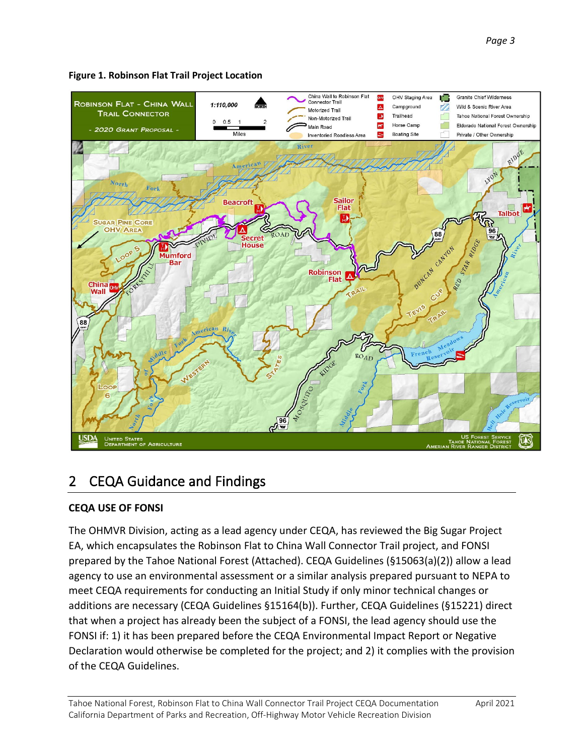

#### **Figure 1. Robinson Flat Trail Project Location**

## 2 CEQA Guidance and Findings

#### **CEQA USE OF FONSI**

 prepared by the Tahoe National Forest (Attached). CEQA Guidelines (§15063(a)(2)) allow a lead that when a project has already been the subject of a FONSI, the lead agency should use the FONSI if: 1) it has been prepared before the CEQA Environmental Impact Report or Negative The OHMVR Division, acting as a lead agency under CEQA, has reviewed the Big Sugar Project EA, which encapsulates the Robinson Flat to China Wall Connector Trail project, and FONSI agency to use an environmental assessment or a similar analysis prepared pursuant to NEPA to meet CEQA requirements for conducting an Initial Study if only minor technical changes or additions are necessary (CEQA Guidelines §15164(b)). Further, CEQA Guidelines (§15221) direct Declaration would otherwise be completed for the project; and 2) it complies with the provision of the CEQA Guidelines.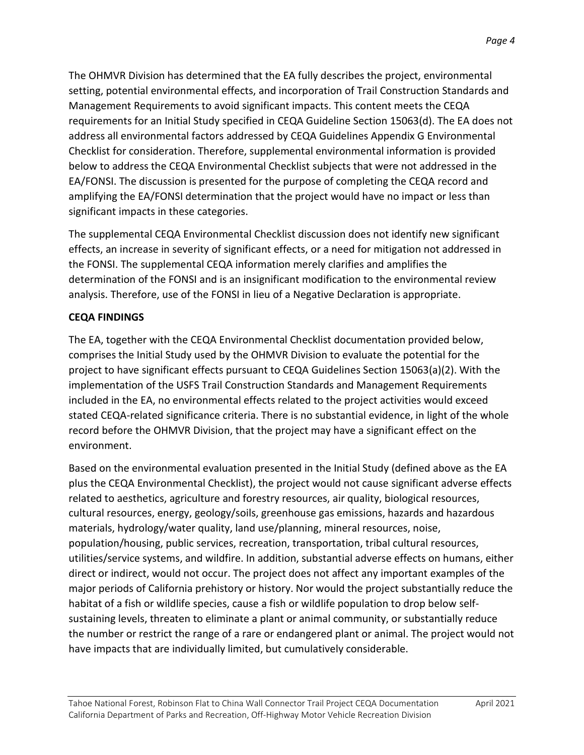setting, potential environmental effects, and incorporation of Trail Construction Standards and Management Requirements to avoid significant impacts. This content meets the CEQA address all environmental factors addressed by CEQA Guidelines Appendix G Environmental EA/FONSI. The discussion is presented for the purpose of completing the CEQA record and amplifying the EA/FONSI determination that the project would have no impact or less than The OHMVR Division has determined that the EA fully describes the project, environmental requirements for an Initial Study specified in CEQA Guideline Section 15063(d). The EA does not Checklist for consideration. Therefore, supplemental environmental information is provided below to address the CEQA Environmental Checklist subjects that were not addressed in the significant impacts in these categories.

 effects, an increase in severity of significant effects, or a need for mitigation not addressed in the FONSI. The supplemental CEQA information merely clarifies and amplifies the The supplemental CEQA Environmental Checklist discussion does not identify new significant determination of the FONSI and is an insignificant modification to the environmental review analysis. Therefore, use of the FONSI in lieu of a Negative Declaration is appropriate.

#### **CEQA FINDINGS**

 The EA, together with the CEQA Environmental Checklist documentation provided below, comprises the Initial Study used by the OHMVR Division to evaluate the potential for the stated CEQA-related significance criteria. There is no substantial evidence, in light of the whole record before the OHMVR Division, that the project may have a significant effect on the project to have significant effects pursuant to CEQA Guidelines Section 15063(a)(2). With the implementation of the USFS Trail Construction Standards and Management Requirements included in the EA, no environmental effects related to the project activities would exceed environment.

 Based on the environmental evaluation presented in the Initial Study (defined above as the EA plus the CEQA Environmental Checklist), the project would not cause significant adverse effects direct or indirect, would not occur. The project does not affect any important examples of the major periods of California prehistory or history. Nor would the project substantially reduce the habitat of a fish or wildlife species, cause a fish or wildlife population to drop below self- the number or restrict the range of a rare or endangered plant or animal. The project would not related to aesthetics, agriculture and forestry resources, air quality, biological resources, cultural resources, energy, geology/soils, greenhouse gas emissions, hazards and hazardous materials, hydrology/water quality, land use/planning, mineral resources, noise, population/housing, public services, recreation, transportation, tribal cultural resources, utilities/service systems, and wildfire. In addition, substantial adverse effects on humans, either sustaining levels, threaten to eliminate a plant or animal community, or substantially reduce have impacts that are individually limited, but cumulatively considerable.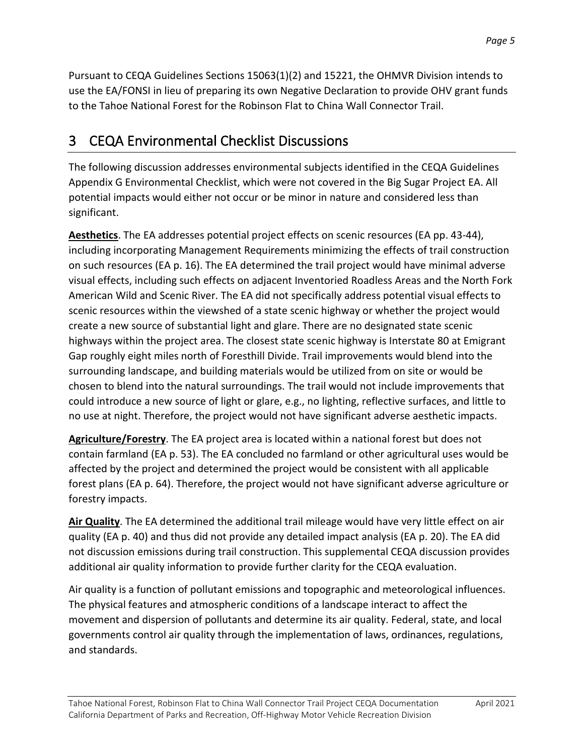Pursuant to CEQA Guidelines Sections 15063(1)(2) and 15221, the OHMVR Division intends to use the EA/FONSI in lieu of preparing its own Negative Declaration to provide OHV grant funds to the Tahoe National Forest for the Robinson Flat to China Wall Connector Trail.

# 3 CEQA Environmental Checklist Discussions

 Appendix G Environmental Checklist, which were not covered in the Big Sugar Project EA. All potential impacts would either not occur or be minor in nature and considered less than significant. The following discussion addresses environmental subjects identified in the CEQA Guidelines

 **Aesthetics**. The EA addresses potential project effects on scenic resources (EA pp. 43-44), surrounding landscape, and building materials would be utilized from on site or would be chosen to blend into the natural surroundings. The trail would not include improvements that no use at night. Therefore, the project would not have significant adverse aesthetic impacts. including incorporating Management Requirements minimizing the effects of trail construction on such resources (EA p. 16). The EA determined the trail project would have minimal adverse visual effects, including such effects on adjacent Inventoried Roadless Areas and the North Fork American Wild and Scenic River. The EA did not specifically address potential visual effects to scenic resources within the viewshed of a state scenic highway or whether the project would create a new source of substantial light and glare. There are no designated state scenic highways within the project area. The closest state scenic highway is Interstate 80 at Emigrant Gap roughly eight miles north of Foresthill Divide. Trail improvements would blend into the could introduce a new source of light or glare, e.g., no lighting, reflective surfaces, and little to

 **Agriculture/Forestry**. The EA project area is located within a national forest but does not contain farmland (EA p. 53). The EA concluded no farmland or other agricultural uses would be affected by the project and determined the project would be consistent with all applicable forest plans (EA p. 64). Therefore, the project would not have significant adverse agriculture or forestry impacts.

 additional air quality information to provide further clarity for the CEQA evaluation. **Air Quality**. The EA determined the additional trail mileage would have very little effect on air quality (EA p. 40) and thus did not provide any detailed impact analysis (EA p. 20). The EA did not discussion emissions during trail construction. This supplemental CEQA discussion provides

 The physical features and atmospheric conditions of a landscape interact to affect the governments control air quality through the implementation of laws, ordinances, regulations, Air quality is a function of pollutant emissions and topographic and meteorological influences. movement and dispersion of pollutants and determine its air quality. Federal, state, and local and standards.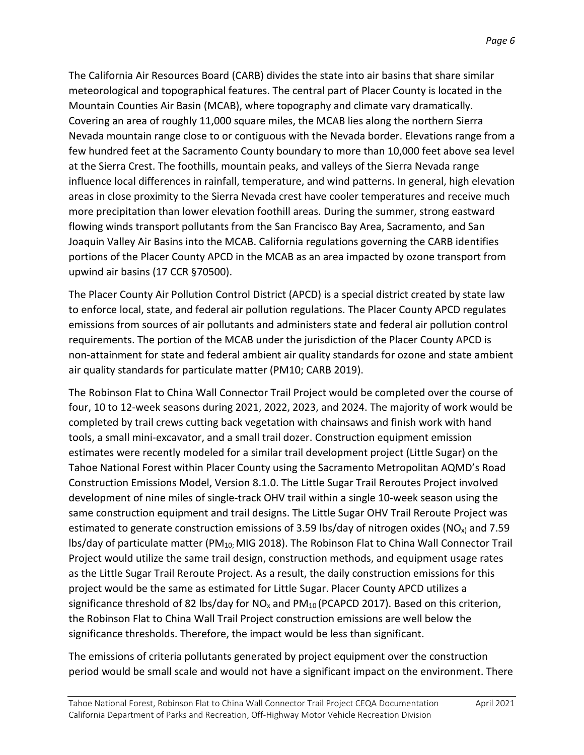few hundred feet at the Sacramento County boundary to more than 10,000 feet above sea level flowing winds transport pollutants from the San Francisco Bay Area, Sacramento, and San Joaquin Valley Air Basins into the MCAB. California regulations governing the CARB identifies upwind air basins (17 CCR §70500). The California Air Resources Board (CARB) divides the state into air basins that share similar meteorological and topographical features. The central part of Placer County is located in the Mountain Counties Air Basin (MCAB), where topography and climate vary dramatically. Covering an area of roughly 11,000 square miles, the MCAB lies along the northern Sierra Nevada mountain range close to or contiguous with the Nevada border. Elevations range from a at the Sierra Crest. The foothills, mountain peaks, and valleys of the Sierra Nevada range influence local differences in rainfall, temperature, and wind patterns. In general, high elevation areas in close proximity to the Sierra Nevada crest have cooler temperatures and receive much more precipitation than lower elevation foothill areas. During the summer, strong eastward portions of the Placer County APCD in the MCAB as an area impacted by ozone transport from

 The Placer County Air Pollution Control District (APCD) is a special district created by state law to enforce local, state, and federal air pollution regulations. The Placer County APCD regulates air quality standards for particulate matter (PM10; CARB 2019). emissions from sources of air pollutants and administers state and federal air pollution control requirements. The portion of the MCAB under the jurisdiction of the Placer County APCD is non-attainment for state and federal ambient air quality standards for ozone and state ambient

 The Robinson Flat to China Wall Connector Trail Project would be completed over the course of four, 10 to 12-week seasons during 2021, 2022, 2023, and 2024. The majority of work would be tools, a small mini-excavator, and a small trail dozer. Construction equipment emission estimates were recently modeled for a similar trail development project (Little Sugar) on the same construction equipment and trail designs. The Little Sugar OHV Trail Reroute Project was Project would utilize the same trail design, construction methods, and equipment usage rates significance threshold of 82 lbs/day for NO<sub>x</sub> and PM<sub>10</sub> (PCAPCD 2017). Based on this criterion, the Robinson Flat to China Wall Trail Project construction emissions are well below the significance thresholds. Therefore, the impact would be less than significant. completed by trail crews cutting back vegetation with chainsaws and finish work with hand Tahoe National Forest within Placer County using the Sacramento Metropolitan AQMD's Road Construction Emissions Model, Version 8.1.0. The Little Sugar Trail Reroutes Project involved development of nine miles of single-track OHV trail within a single 10-week season using the estimated to generate construction emissions of 3.59 lbs/day of nitrogen oxides (NO<sub>x)</sub> and 7.59 lbs/day of particulate matter (PM10; MIG 2018). The Robinson Flat to China Wall Connector Trail as the Little Sugar Trail Reroute Project. As a result, the daily construction emissions for this project would be the same as estimated for Little Sugar. Placer County APCD utilizes a

The emissions of criteria pollutants generated by project equipment over the construction period would be small scale and would not have a significant impact on the environment. There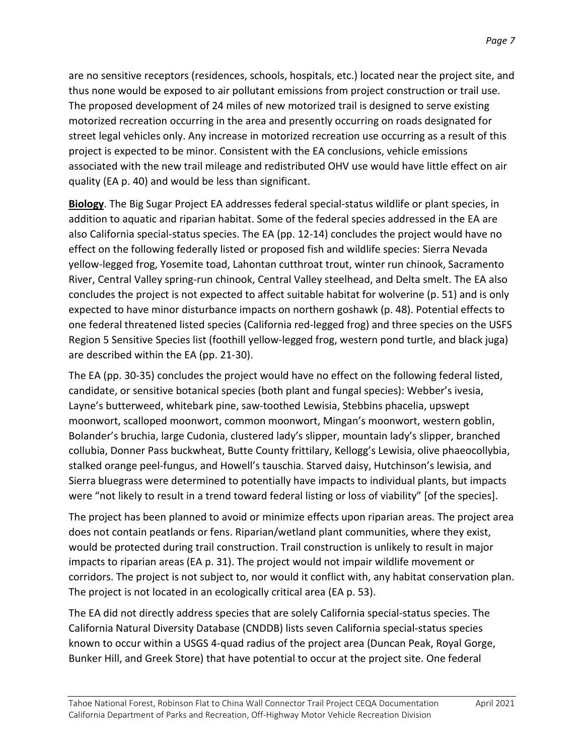are no sensitive receptors (residences, schools, hospitals, etc.) located near the project site, and thus none would be exposed to air pollutant emissions from project construction or trail use. The proposed development of 24 miles of new motorized trail is designed to serve existing project is expected to be minor. Consistent with the EA conclusions, vehicle emissions quality (EA p. 40) and would be less than significant. motorized recreation occurring in the area and presently occurring on roads designated for street legal vehicles only. Any increase in motorized recreation use occurring as a result of this associated with the new trail mileage and redistributed OHV use would have little effect on air

 **Biology**. The Big Sugar Project EA addresses federal special-status wildlife or plant species, in also California special-status species. The EA (pp. 12-14) concludes the project would have no yellow-legged frog, Yosemite toad, Lahontan cutthroat trout, winter run chinook, Sacramento concludes the project is not expected to affect suitable habitat for wolverine (p. 51) and is only expected to have minor disturbance impacts on northern goshawk (p. 48). Potential effects to one federal threatened listed species (California red-legged frog) and three species on the USFS Region 5 Sensitive Species list (foothill yellow-legged frog, western pond turtle, and black juga) addition to aquatic and riparian habitat. Some of the federal species addressed in the EA are effect on the following federally listed or proposed fish and wildlife species: Sierra Nevada River, Central Valley spring-run chinook, Central Valley steelhead, and Delta smelt. The EA also are described within the EA (pp. 21-30).

 The EA (pp. 30-35) concludes the project would have no effect on the following federal listed, Sierra bluegrass were determined to potentially have impacts to individual plants, but impacts were "not likely to result in a trend toward federal listing or loss of viability" [of the species]. candidate, or sensitive botanical species (both plant and fungal species): Webber's ivesia, Layne's butterweed, whitebark pine, saw-toothed Lewisia, Stebbins phacelia, upswept moonwort, scalloped moonwort, common moonwort, Mingan's moonwort, western goblin, Bolander's bruchia, large Cudonia, clustered lady's slipper, mountain lady's slipper, branched collubia, Donner Pass buckwheat, Butte County frittilary, Kellogg's Lewisia, olive phaeocollybia, stalked orange peel-fungus, and Howell's tauschia. Starved daisy, Hutchinson's lewisia, and

 The project has been planned to avoid or minimize effects upon riparian areas. The project area would be protected during trail construction. Trail construction is unlikely to result in major corridors. The project is not subject to, nor would it conflict with, any habitat conservation plan. The project is not located in an ecologically critical area (EA p. 53). does not contain peatlands or fens. Riparian/wetland plant communities, where they exist, impacts to riparian areas (EA p. 31). The project would not impair wildlife movement or

 California Natural Diversity Database (CNDDB) lists seven California special-status species The EA did not directly address species that are solely California special-status species. The known to occur within a USGS 4-quad radius of the project area (Duncan Peak, Royal Gorge, Bunker Hill, and Greek Store) that have potential to occur at the project site. One federal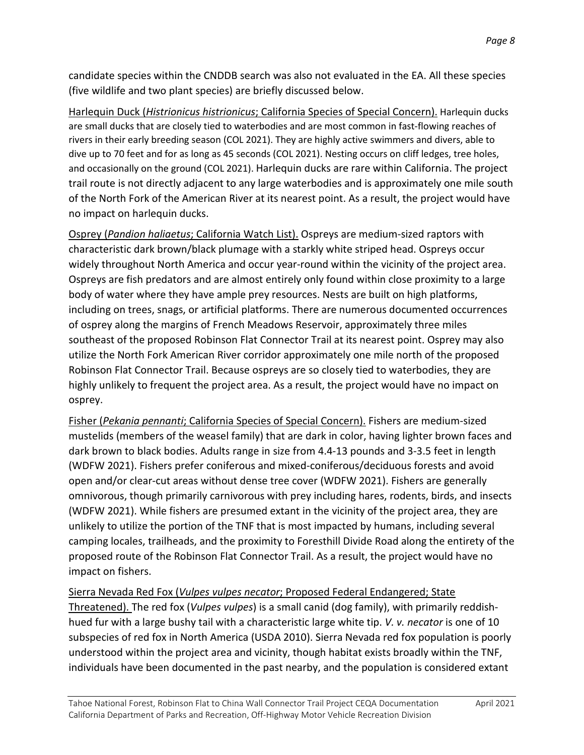(five wildlife and two plant species) are briefly discussed below. candidate species within the CNDDB search was also not evaluated in the EA. All these species

 are small ducks that are closely tied to waterbodies and are most common in fast-flowing reaches of rivers in their early breeding season (COL 2021). They are highly active swimmers and divers, able to dive up to 70 feet and for as long as 45 seconds (COL 2021). Nesting occurs on cliff ledges, tree holes, and occasionally on the ground (COL 2021). Harlequin ducks are rare within California. The project trail route is not directly adjacent to any large waterbodies and is approximately one mile south of the North Fork of the American River at its nearest point. As a result, the project would have no impact on harlequin ducks. Harlequin Duck (*Histrionicus histrionicus*; California Species of Special Concern). Harlequin ducks

 widely throughout North America and occur year-round within the vicinity of the project area. body of water where they have ample prey resources. Nests are built on high platforms, including on trees, snags, or artificial platforms. There are numerous documented occurrences utilize the North Fork American River corridor approximately one mile north of the proposed Robinson Flat Connector Trail. Because ospreys are so closely tied to waterbodies, they are highly unlikely to frequent the project area. As a result, the project would have no impact on Osprey (*Pandion haliaetus*; California Watch List). Ospreys are medium-sized raptors with characteristic dark brown/black plumage with a starkly white striped head. Ospreys occur Ospreys are fish predators and are almost entirely only found within close proximity to a large of osprey along the margins of French Meadows Reservoir, approximately three miles southeast of the proposed Robinson Flat Connector Trail at its nearest point. Osprey may also osprey.

 (WDFW 2021). While fishers are presumed extant in the vicinity of the project area, they are unlikely to utilize the portion of the TNF that is most impacted by humans, including several camping locales, trailheads, and the proximity to Foresthill Divide Road along the entirety of the proposed route of the Robinson Flat Connector Trail. As a result, the project would have no Fisher (*Pekania pennanti*; California Species of Special Concern). Fishers are medium-sized mustelids (members of the weasel family) that are dark in color, having lighter brown faces and dark brown to black bodies. Adults range in size from 4.4-13 pounds and 3-3.5 feet in length (WDFW 2021). Fishers prefer coniferous and mixed-coniferous/deciduous forests and avoid open and/or clear-cut areas without dense tree cover (WDFW 2021). Fishers are generally omnivorous, though primarily carnivorous with prey including hares, rodents, birds, and insects impact on fishers.

### Sierra Nevada Red Fox (*Vulpes vulpes necator*; Proposed Federal Endangered; State

 hued fur with a large bushy tail with a characteristic large white tip. *V. v. necator* is one of 10 Threatened). The red fox (*Vulpes vulpes*) is a small canid (dog family), with primarily reddishsubspecies of red fox in North America (USDA 2010). Sierra Nevada red fox population is poorly understood within the project area and vicinity, though habitat exists broadly within the TNF, individuals have been documented in the past nearby, and the population is considered extant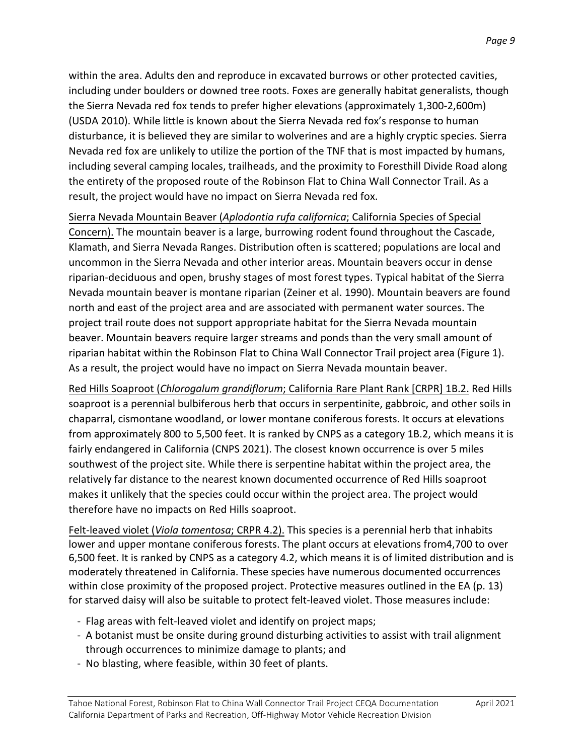within the area. Adults den and reproduce in excavated burrows or other protected cavities, the Sierra Nevada red fox tends to prefer higher elevations (approximately 1,300-2,600m) disturbance, it is believed they are similar to wolverines and are a highly cryptic species. Sierra including several camping locales, trailheads, and the proximity to Foresthill Divide Road along including under boulders or downed tree roots. Foxes are generally habitat generalists, though (USDA 2010). While little is known about the Sierra Nevada red fox's response to human Nevada red fox are unlikely to utilize the portion of the TNF that is most impacted by humans, the entirety of the proposed route of the Robinson Flat to China Wall Connector Trail. As a result, the project would have no impact on Sierra Nevada red fox.

Concern). The mountain beaver is a large, burrowing rodent found throughout the Cascade, Klamath, and Sierra Nevada Ranges. Distribution often is scattered; populations are local and north and east of the project area and are associated with permanent water sources. The beaver. Mountain beavers require larger streams and ponds than the very small amount of riparian habitat within the Robinson Flat to China Wall Connector Trail project area (Figure 1). As a result, the project would have no impact on Sierra Nevada mountain beaver. Sierra Nevada Mountain Beaver (*Aplodontia rufa californica*; California Species of Special uncommon in the Sierra Nevada and other interior areas. Mountain beavers occur in dense riparian-deciduous and open, brushy stages of most forest types. Typical habitat of the Sierra Nevada mountain beaver is montane riparian (Zeiner et al. 1990). Mountain beavers are found project trail route does not support appropriate habitat for the Sierra Nevada mountain

 chaparral, cismontane woodland, or lower montane coniferous forests. It occurs at elevations fairly endangered in California (CNPS 2021). The closest known occurrence is over 5 miles southwest of the project site. While there is serpentine habitat within the project area, the relatively far distance to the nearest known documented occurrence of Red Hills soaproot makes it unlikely that the species could occur within the project area. The project would therefore have no impacts on Red Hills soaproot. Red Hills Soaproot (*Chlorogalum grandiflorum*; California Rare Plant Rank [CRPR] 1B.2. Red Hills soaproot is a perennial bulbiferous herb that occurs in serpentinite, gabbroic, and other soils in from approximately 800 to 5,500 feet. It is ranked by CNPS as a category 1B.2, which means it is

Felt-leaved violet (*Viola tomentosa*; CRPR 4.2). This species is a perennial herb that inhabits lower and upper montane coniferous forests. The plant occurs at elevations from4,700 to over 6,500 feet. It is ranked by CNPS as a category 4.2, which means it is of limited distribution and is moderately threatened in California. These species have numerous documented occurrences within close proximity of the proposed project. Protective measures outlined in the EA (p. 13) for starved daisy will also be suitable to protect felt-leaved violet. Those measures include:

- Flag areas with felt-leaved violet and identify on project maps;
- through occurrences to minimize damage to plants; and - A botanist must be onsite during ground disturbing activities to assist with trail alignment
- No blasting, where feasible, within 30 feet of plants.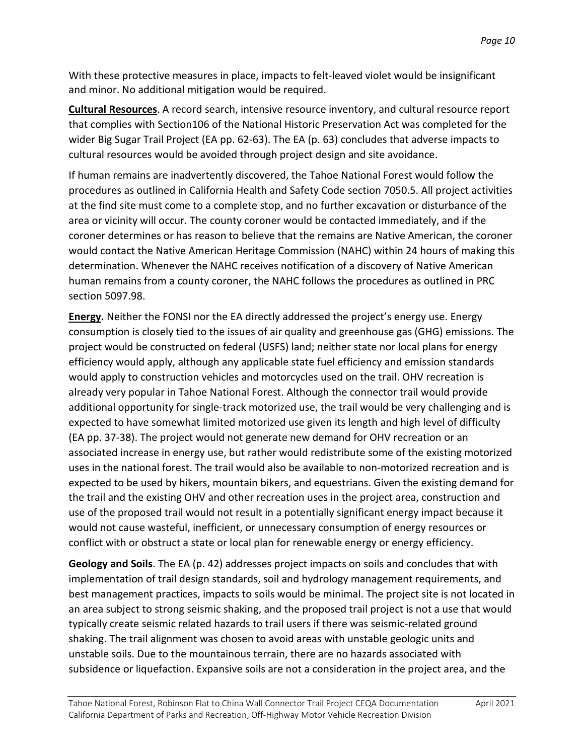With these protective measures in place, impacts to felt-leaved violet would be insignificant and minor. No additional mitigation would be required.

 wider Big Sugar Trail Project (EA pp. 62-63). The EA (p. 63) concludes that adverse impacts to cultural resources would be avoided through project design and site avoidance. **Cultural Resources**. A record search, intensive resource inventory, and cultural resource report that complies with Section106 of the National Historic Preservation Act was completed for the

 If human remains are inadvertently discovered, the Tahoe National Forest would follow the coroner determines or has reason to believe that the remains are Native American, the coroner would contact the Native American Heritage Commission (NAHC) within 24 hours of making this determination. Whenever the NAHC receives notification of a discovery of Native American human remains from a county coroner, the NAHC follows the procedures as outlined in PRC procedures as outlined in California Health and Safety Code section 7050.5. All project activities at the find site must come to a complete stop, and no further excavation or disturbance of the area or vicinity will occur. The county coroner would be contacted immediately, and if the section 5097.98.

 consumption is closely tied to the issues of air quality and greenhouse gas (GHG) emissions. The additional opportunity for single-track motorized use, the trail would be very challenging and is associated increase in energy use, but rather would redistribute some of the existing motorized expected to be used by hikers, mountain bikers, and equestrians. Given the existing demand for use of the proposed trail would not result in a potentially significant energy impact because it would not cause wasteful, inefficient, or unnecessary consumption of energy resources or **Energy.** Neither the FONSI nor the EA directly addressed the project's energy use. Energy project would be constructed on federal (USFS) land; neither state nor local plans for energy efficiency would apply, although any applicable state fuel efficiency and emission standards would apply to construction vehicles and motorcycles used on the trail. OHV recreation is already very popular in Tahoe National Forest. Although the connector trail would provide expected to have somewhat limited motorized use given its length and high level of difficulty (EA pp. 37-38). The project would not generate new demand for OHV recreation or an uses in the national forest. The trail would also be available to non-motorized recreation and is the trail and the existing OHV and other recreation uses in the project area, construction and conflict with or obstruct a state or local plan for renewable energy or energy efficiency.

 implementation of trail design standards, soil and hydrology management requirements, and best management practices, impacts to soils would be minimal. The project site is not located in unstable soils. Due to the mountainous terrain, there are no hazards associated with subsidence or liquefaction. Expansive soils are not a consideration in the project area, and the **Geology and Soils**. The EA (p. 42) addresses project impacts on soils and concludes that with an area subject to strong seismic shaking, and the proposed trail project is not a use that would typically create seismic related hazards to trail users if there was seismic-related ground shaking. The trail alignment was chosen to avoid areas with unstable geologic units and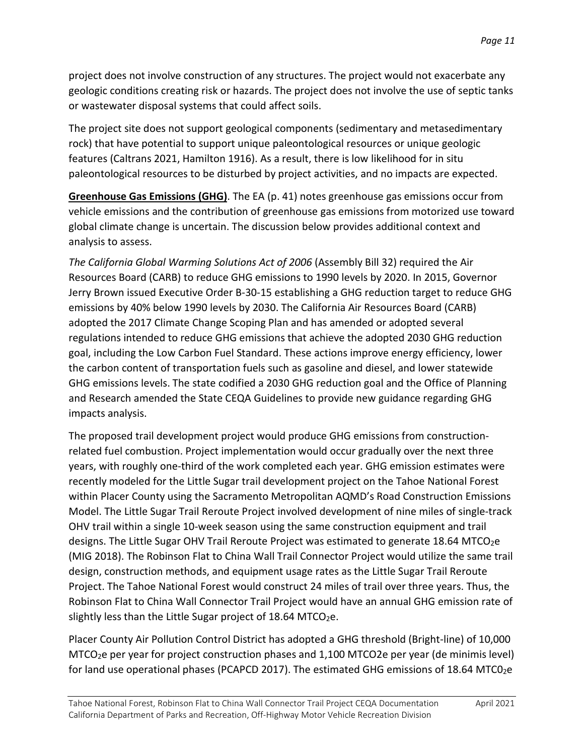or wastewater disposal systems that could affect soils. project does not involve construction of any structures. The project would not exacerbate any geologic conditions creating risk or hazards. The project does not involve the use of septic tanks

or wastewater disposal systems that could affect soils.<br>The project site does not support geological components (sedimentary and metasedimentary features (Caltrans 2021, Hamilton 1916). As a result, there is low likelihood for in situ rock) that have potential to support unique paleontological resources or unique geologic paleontological resources to be disturbed by project activities, and no impacts are expected.

 global climate change is uncertain. The discussion below provides additional context and analysis to assess. **Greenhouse Gas Emissions (GHG)**. The EA (p. 41) notes greenhouse gas emissions occur from vehicle emissions and the contribution of greenhouse gas emissions from motorized use toward

 Resources Board (CARB) to reduce GHG emissions to 1990 levels by 2020. In 2015, Governor Jerry Brown issued Executive Order B-30-15 establishing a GHG reduction target to reduce GHG emissions by 40% below 1990 levels by 2030. The California Air Resources Board (CARB) and Research amended the State CEQA Guidelines to provide new guidance regarding GHG impacts analysis. *The California Global Warming Solutions Act of 2006* (Assembly Bill 32) required the Air adopted the 2017 Climate Change Scoping Plan and has amended or adopted several regulations intended to reduce GHG emissions that achieve the adopted 2030 GHG reduction goal, including the Low Carbon Fuel Standard. These actions improve energy efficiency, lower the carbon content of transportation fuels such as gasoline and diesel, and lower statewide GHG emissions levels. The state codified a 2030 GHG reduction goal and the Office of Planning

 related fuel combustion. Project implementation would occur gradually over the next three years, with roughly one-third of the work completed each year. GHG emission estimates were Project. The Tahoe National Forest would construct 24 miles of trail over three years. Thus, the The proposed trail development project would produce GHG emissions from constructionrecently modeled for the Little Sugar trail development project on the Tahoe National Forest within Placer County using the Sacramento Metropolitan AQMD's Road Construction Emissions Model. The Little Sugar Trail Reroute Project involved development of nine miles of single-track OHV trail within a single 10-week season using the same construction equipment and trail designs. The Little Sugar OHV Trail Reroute Project was estimated to generate 18.64 MTCO<sub>2</sub>e (MIG 2018). The Robinson Flat to China Wall Trail Connector Project would utilize the same trail design, construction methods, and equipment usage rates as the Little Sugar Trail Reroute Robinson Flat to China Wall Connector Trail Project would have an annual GHG emission rate of slightly less than the Little Sugar project of  $18.64$  MTCO<sub>2</sub>e.

Placer County Air Pollution Control District has adopted a GHG threshold (Bright-line) of 10,000 MTCO2e per year for project construction phases and 1,100 MTCO2e per year (de minimis level) for land use operational phases (PCAPCD 2017). The estimated GHG emissions of 18.64 MTC02e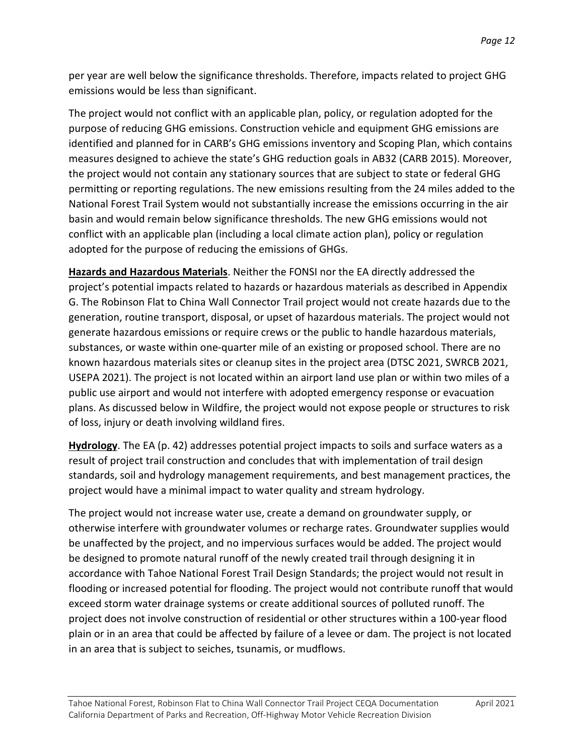per year are well below the significance thresholds. Therefore, impacts related to project GHG emissions would be less than significant.

 The project would not conflict with an applicable plan, policy, or regulation adopted for the National Forest Trail System would not substantially increase the emissions occurring in the air basin and would remain below significance thresholds. The new GHG emissions would not adopted for the purpose of reducing the emissions of GHGs. purpose of reducing GHG emissions. Construction vehicle and equipment GHG emissions are identified and planned for in CARB's GHG emissions inventory and Scoping Plan, which contains measures designed to achieve the state's GHG reduction goals in AB32 (CARB 2015). Moreover, the project would not contain any stationary sources that are subject to state or federal GHG permitting or reporting regulations. The new emissions resulting from the 24 miles added to the conflict with an applicable plan (including a local climate action plan), policy or regulation

 G. The Robinson Flat to China Wall Connector Trail project would not create hazards due to the generate hazardous emissions or require crews or the public to handle hazardous materials, substances, or waste within one-quarter mile of an existing or proposed school. There are no **Hazards and Hazardous Materials**. Neither the FONSI nor the EA directly addressed the project's potential impacts related to hazards or hazardous materials as described in Appendix generation, routine transport, disposal, or upset of hazardous materials. The project would not known hazardous materials sites or cleanup sites in the project area (DTSC 2021, SWRCB 2021, USEPA 2021). The project is not located within an airport land use plan or within two miles of a public use airport and would not interfere with adopted emergency response or evacuation plans. As discussed below in Wildfire, the project would not expose people or structures to risk of loss, injury or death involving wildland fires.

 **Hydrology**. The EA (p. 42) addresses potential project impacts to soils and surface waters as a project would have a minimal impact to water quality and stream hydrology. result of project trail construction and concludes that with implementation of trail design standards, soil and hydrology management requirements, and best management practices, the

 The project would not increase water use, create a demand on groundwater supply, or be unaffected by the project, and no impervious surfaces would be added. The project would accordance with Tahoe National Forest Trail Design Standards; the project would not result in flooding or increased potential for flooding. The project would not contribute runoff that would exceed storm water drainage systems or create additional sources of polluted runoff. The plain or in an area that could be affected by failure of a levee or dam. The project is not located in an area that is subject to seiches, tsunamis, or mudflows. otherwise interfere with groundwater volumes or recharge rates. Groundwater supplies would be designed to promote natural runoff of the newly created trail through designing it in project does not involve construction of residential or other structures within a 100-year flood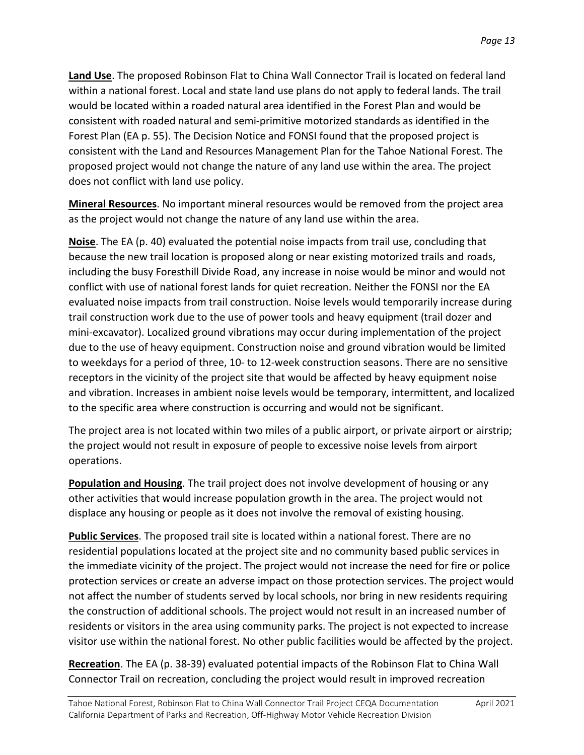within a national forest. Local and state land use plans do not apply to federal lands. The trail Forest Plan (EA p. 55). The Decision Notice and FONSI found that the proposed project is consistent with the Land and Resources Management Plan for the Tahoe National Forest. The proposed project would not change the nature of any land use within the area. The project does not conflict with land use policy. **Land Use**. The proposed Robinson Flat to China Wall Connector Trail is located on federal land would be located within a roaded natural area identified in the Forest Plan and would be consistent with roaded natural and semi-primitive motorized standards as identified in the

 **Mineral Resources**. No important mineral resources would be removed from the project area as the project would not change the nature of any land use within the area.

 because the new trail location is proposed along or near existing motorized trails and roads, trail construction work due to the use of power tools and heavy equipment (trail dozer and mini-excavator). Localized ground vibrations may occur during implementation of the project due to the use of heavy equipment. Construction noise and ground vibration would be limited to weekdays for a period of three, 10- to 12-week construction seasons. There are no sensitive **Noise**. The EA (p. 40) evaluated the potential noise impacts from trail use, concluding that including the busy Foresthill Divide Road, any increase in noise would be minor and would not conflict with use of national forest lands for quiet recreation. Neither the FONSI nor the EA evaluated noise impacts from trail construction. Noise levels would temporarily increase during receptors in the vicinity of the project site that would be affected by heavy equipment noise and vibration. Increases in ambient noise levels would be temporary, intermittent, and localized to the specific area where construction is occurring and would not be significant.

The project area is not located within two miles of a public airport, or private airport or airstrip; the project would not result in exposure of people to excessive noise levels from airport operations.

 **Population and Housing**. The trail project does not involve development of housing or any displace any housing or people as it does not involve the removal of existing housing. other activities that would increase population growth in the area. The project would not

 **Public Services**. The proposed trail site is located within a national forest. There are no protection services or create an adverse impact on those protection services. The project would not affect the number of students served by local schools, nor bring in new residents requiring residential populations located at the project site and no community based public services in the immediate vicinity of the project. The project would not increase the need for fire or police the construction of additional schools. The project would not result in an increased number of residents or visitors in the area using community parks. The project is not expected to increase visitor use within the national forest. No other public facilities would be affected by the project.

 **Recreation**. The EA (p. 38-39) evaluated potential impacts of the Robinson Flat to China Wall Connector Trail on recreation, concluding the project would result in improved recreation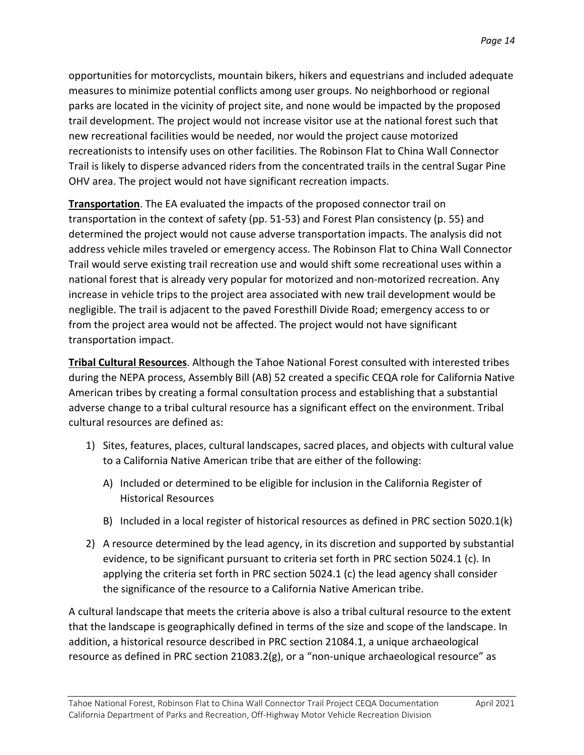parks are located in the vicinity of project site, and none would be impacted by the proposed new recreational facilities would be needed, nor would the project cause motorized opportunities for motorcyclists, mountain bikers, hikers and equestrians and included adequate measures to minimize potential conflicts among user groups. No neighborhood or regional trail development. The project would not increase visitor use at the national forest such that recreationists to intensify uses on other facilities. The Robinson Flat to China Wall Connector Trail is likely to disperse advanced riders from the concentrated trails in the central Sugar Pine OHV area. The project would not have significant recreation impacts.

 **Transportation**. The EA evaluated the impacts of the proposed connector trail on national forest that is already very popular for motorized and non-motorized recreation. Any increase in vehicle trips to the project area associated with new trail development would be negligible. The trail is adjacent to the paved Foresthill Divide Road; emergency access to or from the project area would not be affected. The project would not have significant transportation in the context of safety (pp. 51-53) and Forest Plan consistency (p. 55) and determined the project would not cause adverse transportation impacts. The analysis did not address vehicle miles traveled or emergency access. The Robinson Flat to China Wall Connector Trail would serve existing trail recreation use and would shift some recreational uses within a transportation impact.

 adverse change to a tribal cultural resource has a significant effect on the environment. Tribal **Tribal Cultural Resources**. Although the Tahoe National Forest consulted with interested tribes during the NEPA process, Assembly Bill (AB) 52 created a specific CEQA role for California Native American tribes by creating a formal consultation process and establishing that a substantial cultural resources are defined as:

- 1) Sites, features, places, cultural landscapes, sacred places, and objects with cultural value to a California Native American tribe that are either of the following:
	- A) Included or determined to be eligible for inclusion in the California Register of Historical Resources
	- B) Included in a local register of historical resources as defined in PRC section 5020.1(k)
- 2) A resource determined by the lead agency, in its discretion and supported by substantial evidence, to be significant pursuant to criteria set forth in PRC section 5024.1 (c). In applying the criteria set forth in PRC section 5024.1 (c) the lead agency shall consider the significance of the resource to a California Native American tribe.

 A cultural landscape that meets the criteria above is also a tribal cultural resource to the extent resource as defined in PRC section 21083.2(g), or a "non-unique archaeological resource" as that the landscape is geographically defined in terms of the size and scope of the landscape. In addition, a historical resource described in PRC section 21084.1, a unique archaeological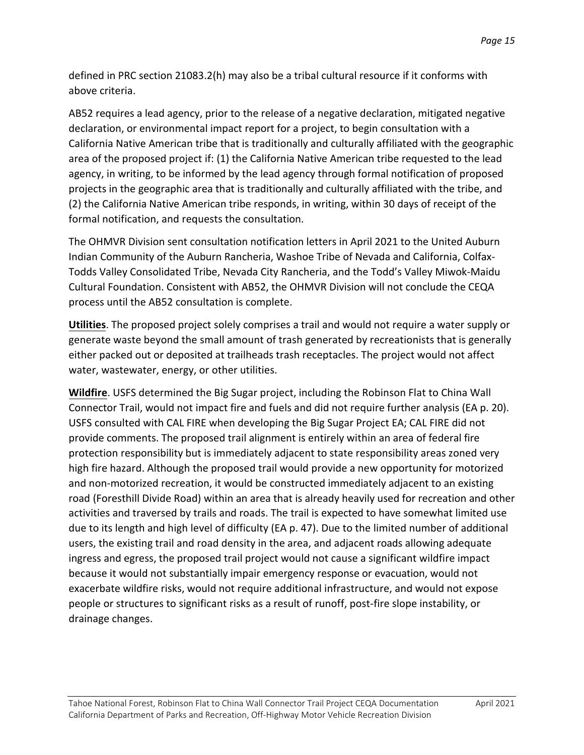defined in PRC section 21083.2(h) may also be a tribal cultural resource if it conforms with above criteria.

 (2) the California Native American tribe responds, in writing, within 30 days of receipt of the AB52 requires a lead agency, prior to the release of a negative declaration, mitigated negative declaration, or environmental impact report for a project, to begin consultation with a California Native American tribe that is traditionally and culturally affiliated with the geographic area of the proposed project if: (1) the California Native American tribe requested to the lead agency, in writing, to be informed by the lead agency through formal notification of proposed projects in the geographic area that is traditionally and culturally affiliated with the tribe, and formal notification, and requests the consultation.

 Indian Community of the Auburn Rancheria, Washoe Tribe of Nevada and California, Colfax- Todds Valley Consolidated Tribe, Nevada City Rancheria, and the Todd's Valley Miwok-Maidu The OHMVR Division sent consultation notification letters in April 2021 to the United Auburn Cultural Foundation. Consistent with AB52, the OHMVR Division will not conclude the CEQA process until the AB52 consultation is complete.

 $\overline{a}$ .<br>י **Utilities**. The proposed project solely comprises a trail and would not require a water supply or generate waste beyond the small amount of trash generated by recreationists that is generally either packed out or deposited at trailheads trash receptacles. The project would not affect water, wastewater, energy, or other utilities.

 $\overline{a}$  USFS consulted with CAL FIRE when developing the Big Sugar Project EA; CAL FIRE did not protection responsibility but is immediately adjacent to state responsibility areas zoned very and non-motorized recreation, it would be constructed immediately adjacent to an existing road (Foresthill Divide Road) within an area that is already heavily used for recreation and other due to its length and high level of difficulty (EA p. 47). Due to the limited number of additional ingress and egress, the proposed trail project would not cause a significant wildfire impact because it would not substantially impair emergency response or evacuation, would not **Wildfire**. USFS determined the Big Sugar project, including the Robinson Flat to China Wall Connector Trail, would not impact fire and fuels and did not require further analysis (EA p. 20). provide comments. The proposed trail alignment is entirely within an area of federal fire high fire hazard. Although the proposed trail would provide a new opportunity for motorized activities and traversed by trails and roads. The trail is expected to have somewhat limited use users, the existing trail and road density in the area, and adjacent roads allowing adequate exacerbate wildfire risks, would not require additional infrastructure, and would not expose people or structures to significant risks as a result of runoff, post-fire slope instability, or drainage changes.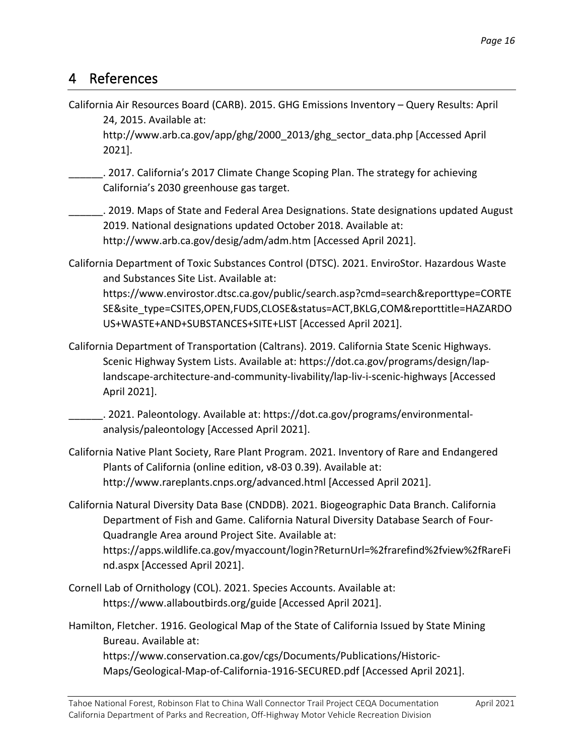### 4 References

 California Air Resources Board (CARB). 2015. GHG Emissions Inventory – Query Results: April 24, 2015. Available at:

[http://www.arb.ca.gov/app/ghg/2000\\_2013/ghg\\_sector\\_data.php](http://www.arb.ca.gov/app/ghg/2000_2013/ghg_sector_data.php) [Accessed April 2021].

California's 2030 greenhouse gas target. \_\_\_\_\_\_. 2017. California's 2017 Climate Change Scoping Plan. The strategy for achieving

California's 2030 greenhouse gas target.<br>\_\_\_\_\_\_\_\_. 2019. Maps of State and Federal Area Designations. State designations updated August http://www.arb.ca.gov/desig/adm/adm.htm [Accessed April 2021]. 2019. National designations updated October 2018. Available at:

- <http://www.arb.ca.gov/desig/adm/adm.htm> [Accessed April 2021]. California Department of Toxic Substances Control (DTSC). 2021. EnviroStor. Hazardous Waste and Substances Site List. Available at: <https://www.envirostor.dtsc.ca.gov/public/search.asp?cmd=search&reporttype=CORTE> SE&site\_type=CSITES,OPEN,FUDS,CLOSE&status=ACT,BKLG,COM&reporttitle=HAZARDO US+WASTE+AND+SUBSTANCES+SITE+LIST [Accessed April 2021].
- California Department of Transportation (Caltrans). 2019. California State Scenic Highways. Scenic Highway System Lists. Available at: <https://dot.ca.gov/programs/design/lap>landscape-architecture-and-community-livability/lap-liv-i-scenic-highways [Accessed April 2021].

\_\_\_\_\_\_. 2021. Paleontology. Available at:<https://dot.ca.gov/programs/environmental>analysis/paleontology [Accessed April 2021].

- California Native Plant Society, Rare Plant Program. 2021. Inventory of Rare and Endangered Plants of California (online edition, v8-03 0.39). Available at: <http://www.rareplants.cnps.org/advanced.html>[Accessed April 2021].
- California Natural Diversity Data Base (CNDDB). 2021. Biogeographic Data Branch. California Department of Fish and Game. California Natural Diversity Database Search of Four-Quadrangle Area around Project Site. Available at: <https://apps.wildlife.ca.gov/myaccount/login?ReturnUrl=%2frarefind%2fview%2fRareFi> nd.aspx [Accessed April 2021].
- Cornell Lab of Ornithology (COL). 2021. Species Accounts. Available at: <https://www.allaboutbirds.org/guide>[Accessed April 2021].

 Hamilton, Fletcher. 1916. Geological Map of the State of California Issued by State Mining Bureau. Available at: <https://www.conservation.ca.gov/cgs/Documents/Publications/Historic>-

Maps/Geological-Map-of-California-1916-SECURED.pdf [Accessed April 2021].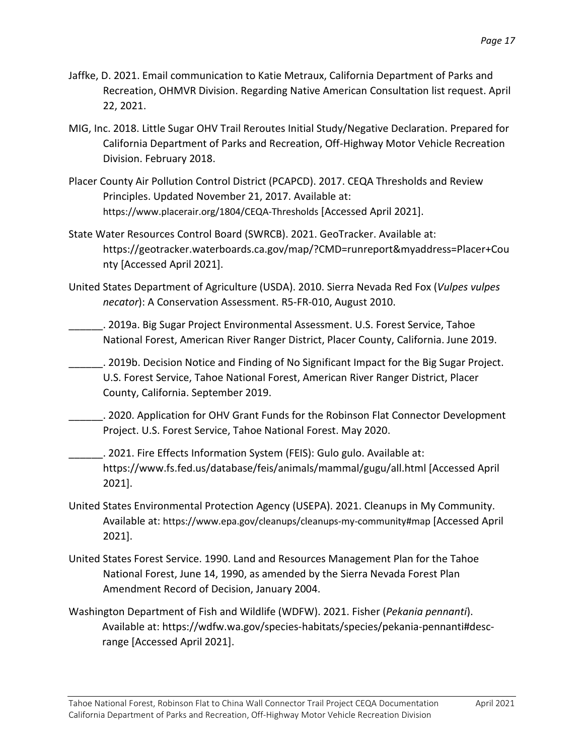- Recreation, OHMVR Division. Regarding Native American Consultation list request. April 22, 2021.
- MIG, Inc. 2018. Little Sugar OHV Trail Reroutes Initial Study/Negative Declaration. Prepared for California Department of Parks and Recreation, Off-Highway Motor Vehicle Recreation Division. February 2018.
- Placer County Air Pollution Control District (PCAPCD). 2017. CEQA Thresholds and Review Principles. Updated November 21, 2017. Available at: <https://www.placerair.org/1804/CEQA-Thresholds>[Accessed April 2021].
- State Water Resources Control Board (SWRCB). 2021. GeoTracker. Available at: nty [Accessed April 2021]. <https://geotracker.waterboards.ca.gov/map/?CMD=runreport&myaddress=Placer+Cou>
- United States Department of Agriculture (USDA). 2010. Sierra Nevada Red Fox (*Vulpes vulpes necator*): A Conservation Assessment. R5-FR-010, August 2010.
	- \_\_\_\_\_\_. 2019a. Big Sugar Project Environmental Assessment. U.S. Forest Service, Tahoe National Forest, American River Ranger District, Placer County, California. June 2019.
- **\_\_\_\_\_\_**. 2019b. Decision Notice and Finding of No Significant Impact for the Big Sugar Project. U.S. Forest Service, Tahoe National Forest, American River Ranger District, Placer County, California. September 2019.
- **\_\_\_\_\_\_\_**. 2020. Application for OHV Grant Funds for the Robinson Flat Connector Development Project. U.S. Forest Service, Tahoe National Forest. May 2020.
- \_\_\_\_\_\_\_. 2021. Fire Effects Information System (FEIS): Gulo gulo. Available at: <https://www.fs.fed.us/database/feis/animals/mammal/gugu/all.html>[Accessed April 2021].
- United States Environmental Protection Agency (USEPA). 2021. Cleanups in My Community. Available at: <https://www.epa.gov/cleanups/cleanups-my-community#map> [Accessed April 2021].
- United States Forest Service. 1990. Land and Resources Management Plan for the Tahoe National Forest, June 14, 1990, as amended by the Sierra Nevada Forest Plan Amendment Record of Decision, January 2004.
- Washington Department of Fish and Wildlife (WDFW). 2021. Fisher (*Pekania pennanti*). Available at:<https://wdfw.wa.gov/species-habitats/species/pekania-pennanti#desc>range [Accessed April 2021].

*Page 17*